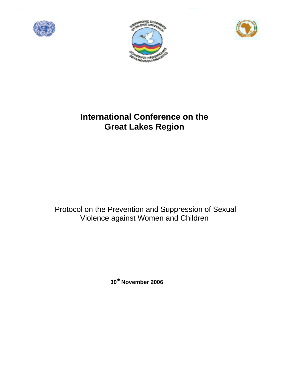





# **International Conference on the Great Lakes Region**

 Protocol on the Prevention and Suppression of Sexual Violence against Women and Children

**30th November 2006**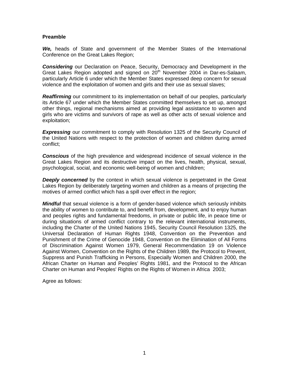#### **Preamble**

*We,* heads of State and government of the Member States of the International Conference on the Great Lakes Region;

*Considering* our Declaration on Peace, Security, Democracy and Development in the Great Lakes Region adopted and signed on  $20<sup>th</sup>$  November 2004 in Dar-es-Salaam, particularly Article 6 under which the Member States expressed deep concern for sexual violence and the exploitation of women and girls and their use as sexual slaves;

**Reaffirming** our commitment to its implementation on behalf of our peoples, particularly its Article 67 under which the Member States committed themselves to set up, amongst other things, regional mechanisms aimed at providing legal assistance to women and girls who are victims and survivors of rape as well as other acts of sexual violence and exploitation;

**Expressing** our commitment to comply with Resolution 1325 of the Security Council of the United Nations with respect to the protection of women and children during armed conflict;

*Conscious* of the high prevalence and widespread incidence of sexual violence in the Great Lakes Region and its destructive impact on the lives, health, physical, sexual, psychological, social, and economic well-being of women and children;

**Deeply concerned** by the context in which sexual violence is perpetrated in the Great Lakes Region by deliberately targeting women and children as a means of projecting the motives of armed conflict which has a spill over effect in the region;

*Mindful* that sexual violence is a form of gender-based violence which seriously inhibits the ability of women to contribute to, and benefit from, development, and to enjoy human and peoples rights and fundamental freedoms, in private or public life, in peace time or during situations of armed conflict contrary to the relevant international instruments, including the Charter of the United Nations 1945, Security Council Resolution 1325, the Universal Declaration of Human Rights 1948, Convention on the Prevention and Punishment of the Crime of Genocide 1948, Convention on the Elimination of All Forms of Discrimination Against Women 1979, General Recommendation 19 on Violence Against Women, Convention on the Rights of the Children 1989, the Protocol to Prevent, Suppress and Punish Trafficking in Persons, Especially Women and Children 2000, the African Charter on Human and Peoples' Rights 1981, and the Protocol to the African Charter on Human and Peoples' Rights on the Rights of Women in Africa 2003;

Agree as follows: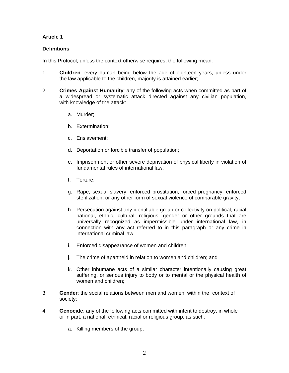## **Article 1**

#### **Definitions**

In this Protocol, unless the context otherwise requires, the following mean:

- 1. **Children**: every human being below the age of eighteen years, unless under the law applicable to the children, majority is attained earlier;
- 2. **Crimes Against Humanity**: any of the following acts when committed as part of a widespread or systematic attack directed against any civilian population, with knowledge of the attack:
	- a. Murder;
	- b. Extermination;
	- c. Enslavement;
	- d. Deportation or forcible transfer of population;
	- e. Imprisonment or other severe deprivation of physical liberty in violation of fundamental rules of international law;
	- f. Torture;
	- g. Rape, sexual slavery, enforced prostitution, forced pregnancy, enforced sterilization, or any other form of sexual violence of comparable gravity;
	- h. Persecution against any identifiable group or collectivity on political, racial, national, ethnic, cultural, religious, gender or other grounds that are universally recognized as impermissible under international law, in connection with any act referred to in this paragraph or any crime in international criminal law;
	- i. Enforced disappearance of women and children;
	- j. The crime of apartheid in relation to women and children; and
	- k. Other inhumane acts of a similar character intentionally causing great suffering, or serious injury to body or to mental or the physical health of women and children;
- 3. **Gender**: the social relations between men and women, within the context of society;
- 4. **Genocide**: any of the following acts committed with intent to destroy, in whole or in part, a national, ethnical, racial or religious group, as such:
	- a. Killing members of the group;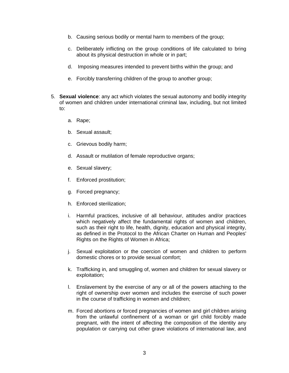- b. Causing serious bodily or mental harm to members of the group;
- c. Deliberately inflicting on the group conditions of life calculated to bring about its physical destruction in whole or in part;
- d. Imposing measures intended to prevent births within the group; and
- e. Forcibly transferring children of the group to another group;
- 5. **Sexual violence**: any act which violates the sexual autonomy and bodily integrity of women and children under international criminal law, including, but not limited to:
	- a. Rape;
	- b. Sexual assault;
	- c. Grievous bodily harm;
	- d. Assault or mutilation of female reproductive organs;
	- e. Sexual slavery;
	- f. Enforced prostitution;
	- g. Forced pregnancy;
	- h. Enforced sterilization;
	- i. Harmful practices, inclusive of all behaviour, attitudes and/or practices which negatively affect the fundamental rights of women and children, such as their right to life, health, dignity, education and physical integrity, as defined in the Protocol to the African Charter on Human and Peoples' Rights on the Rights of Women in Africa;
	- j. Sexual exploitation or the coercion of women and children to perform domestic chores or to provide sexual comfort;
	- k. Trafficking in, and smuggling of, women and children for sexual slavery or exploitation;
	- l. Enslavement by the exercise of any or all of the powers attaching to the right of ownership over women and includes the exercise of such power in the course of trafficking in women and children;
	- m. Forced abortions or forced pregnancies of women and girl children arising from the unlawful confinement of a woman or girl child forcibly made pregnant, with the intent of affecting the composition of the identity any population or carrying out other grave violations of international law, and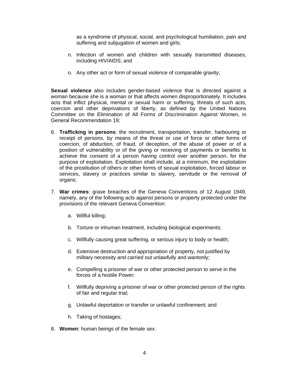as a syndrome of physical, social, and psychological humiliation, pain and suffering and subjugation of women and girls;

- n. Infection of women and children with sexually transmitted diseases, including HIV/AIDS; and
- o. Any other act or form of sexual violence of comparable gravity;

**Sexual violence** also includes gender-based violence that is directed against a woman because she is a woman or that affects women disproportionately. It includes acts that inflict physical, mental or sexual harm or suffering, threats of such acts, coercion and other deprivations of liberty, as defined by the United Nations Committee on the Elimination of All Forms of Discrimination Against Women, in General Recommendation 19;

- 6. **Trafficking in persons**: the recruitment, transportation, transfer, harbouring or receipt of persons, by means of the threat or use of force or other forms of coercion, of abduction, of fraud, of deception, of the abuse of power or of a position of vulnerability or of the giving or receiving of payments or benefits to achieve the consent of a person having control over another person, for the purpose of exploitation. Exploitation shall include, at a minimum, the exploitation of the prostitution of others or other forms of sexual exploitation, forced labour or services, slavery or practices similar to slavery, servitude or the removal of organs;
- 7. **War crimes**: grave breaches of the Geneva Conventions of 12 August 1949, namely, any of the following acts against persons or property protected under the provisions of the relevant Geneva Convention:
	- a. Willful killing;
	- b. Torture or inhuman treatment, including biological experiments;
	- c. Willfully causing great suffering, or serious injury to body or health;
	- d. Extensive destruction and appropriation of property, not justified by military necessity and carried out unlawfully and wantonly;
	- e. Compelling a prisoner of war or other protected person to serve in the forces of a hostile Power;
	- f. Willfully depriving a prisoner of war or other protected person of the rights of fair and regular trial;
	- g. Unlawful deportation or transfer or unlawful confinement; and
	- h. Taking of hostages;
- 8. **Women**: human beings of the female sex.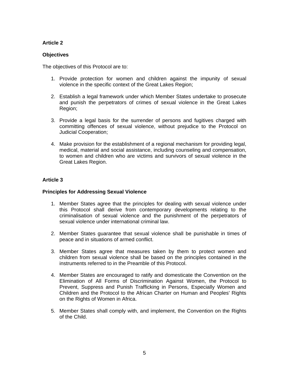## **Article 2**

#### **Objectives**

The objectives of this Protocol are to:

- 1. Provide protection for women and children against the impunity of sexual violence in the specific context of the Great Lakes Region;
- 2. Establish a legal framework under which Member States undertake to prosecute and punish the perpetrators of crimes of sexual violence in the Great Lakes Region;
- 3. Provide a legal basis for the surrender of persons and fugitives charged with committing offences of sexual violence, without prejudice to the Protocol on Judicial Cooperation;
- 4. Make provision for the establishment of a regional mechanism for providing legal, medical, material and social assistance, including counseling and compensation, to women and children who are victims and survivors of sexual violence in the Great Lakes Region.

#### **Article 3**

#### **Principles for Addressing Sexual Violence**

- 1. Member States agree that the principles for dealing with sexual violence under this Protocol shall derive from contemporary developments relating to the criminalisation of sexual violence and the punishment of the perpetrators of sexual violence under international criminal law.
- 2. Member States guarantee that sexual violence shall be punishable in times of peace and in situations of armed conflict.
- 3. Member States agree that measures taken by them to protect women and children from sexual violence shall be based on the principles contained in the instruments referred to in the Preamble of this Protocol.
- 4. Member States are encouraged to ratify and domesticate the Convention on the Elimination of All Forms of Discrimination Against Women, the Protocol to Prevent, Suppress and Punish Trafficking in Persons, Especially Women and Children and the Protocol to the African Charter on Human and Peoples' Rights on the Rights of Women in Africa.
- 5. Member States shall comply with, and implement, the Convention on the Rights of the Child.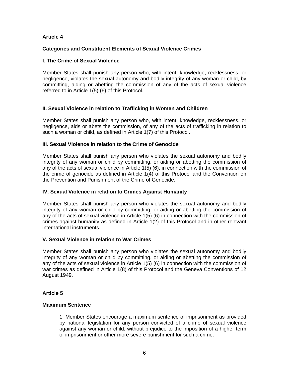#### **Article 4**

#### **Categories and Constituent Elements of Sexual Violence Crimes**

#### **I. The Crime of Sexual Violence**

Member States shall punish any person who, with intent, knowledge, recklessness, or negligence, violates the sexual autonomy and bodily integrity of any woman or child, by committing, aiding or abetting the commission of any of the acts of sexual violence referred to in Article 1(5) (6) of this Protocol.

#### **II. Sexual Violence in relation to Trafficking in Women and Children**

Member States shall punish any person who, with intent, knowledge, recklessness, or negligence, aids or abets the commission, of any of the acts of trafficking in relation to such a woman or child, as defined in Article 1(7) of this Protocol.

#### **III. Sexual Violence in relation to the Crime of Genocide**

Member States shall punish any person who violates the sexual autonomy and bodily integrity of any woman or child by committing, or aiding or abetting the commission of any of the acts of sexual violence in Article 1(5) (6), in connection with the commission of the crime of genocide as defined in Article 1(4) of this Protocol and the Convention on the Prevention and Punishment of the Crime of Genocide**.** 

#### **IV. Sexual Violence in relation to Crimes Against Humanity**

Member States shall punish any person who violates the sexual autonomy and bodily integrity of any woman or child by committing, or aiding or abetting the commission of any of the acts of sexual violence in Article 1(5) (6) in connection with the commission of crimes against humanity as defined in Article 1(2) of this Protocol and in other relevant international instruments.

#### **V. Sexual Violence in relation to War Crimes**

Member States shall punish any person who violates the sexual autonomy and bodily integrity of any woman or child by committing, or aiding or abetting the commission of any of the acts of sexual violence in Article 1(5) (6) in connection with the commission of war crimes as defined in Article 1(8) of this Protocol and the Geneva Conventions of 12 August 1949.

#### **Article 5**

#### **Maximum Sentence**

1. Member States encourage a maximum sentence of imprisonment as provided by national legislation for any person convicted of a crime of sexual violence against any woman or child, without prejudice to the imposition of a higher term of imprisonment or other more severe punishment for such a crime.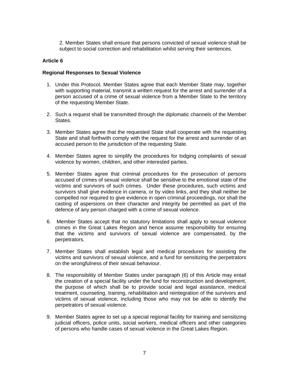2. Member States shall ensure that persons convicted of sexual violence shall be subject to social correction and rehabilitation whilst serving their sentences.

#### **Article 6**

#### **Regional Responses to Sexual Violence**

- 1. Under this Protocol, Member States agree that each Member State may, together with supporting material, transmit a written request for the arrest and surrender of a person accused of a crime of sexual violence from a Member State to the territory of the requesting Member State.
- 2. Such a request shall be transmitted through the diplomatic channels of the Member States.
- 3. Member States agree that the requested State shall cooperate with the requesting State and shall forthwith comply with the request for the arrest and surrender of an accused person to the jurisdiction of the requesting State.
- 4. Member States agree to simplify the procedures for lodging complaints of sexual violence by women, children, and other interested parties.
- 5. Member States agree that criminal procedures for the prosecution of persons accused of crimes of sexual violence shall be sensitive to the emotional state of the victims and survivors of such crimes. Under these procedures, such victims and survivors shall give evidence in camera, or by video links, and they shall neither be compelled nor required to give evidence in open criminal proceedings, nor shall the casting of aspersions on their character and integrity be permitted as part of the defence of any person charged with a crime of sexual violence.
- 6. Member States accept that no statutory limitations shall apply to sexual violence crimes in the Great Lakes Region and hence assume responsibility for ensuring that the victims and survivors of sexual violence are compensated, by the perpetrators.
- 7. Member States shall establish legal and medical procedures for assisting the victims and survivors of sexual violence, and a fund for sensitizing the perpetrators on the wrongfulness of their sexual behaviour.
- 8. The responsibility of Member States under paragraph (6) of this Article may entail the creation of a special facility under the fund for reconstruction and development, the purpose of which shall be to provide social and legal assistance, medical treatment, counseling, training, rehabilitation and reintegration of the survivors and victims of sexual violence, including those who may not be able to identify the perpetrators of sexual violence.
- 9. Member States agree to set up a special regional facility for training and sensitizing judicial officers, police units, social workers, medical officers and other categories of persons who handle cases of sexual violence in the Great Lakes Region.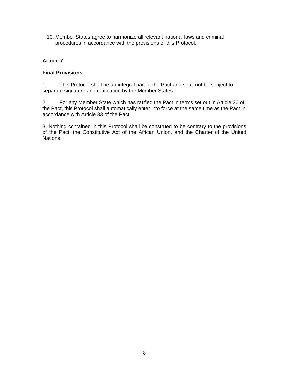10. Member States agree to harmonize all relevant national laws and criminal procedures in accordance with the provisions of this Protocol.

### **Article 7**

#### **Final Provisions**

1. This Protocol shall be an integral part of the Pact and shall not be subject to separate signature and ratification by the Member States.

2. For any Member State which has ratified the Pact in terms set out in Article 30 of the Pact, this Protocol shall automatically enter into force at the same time as the Pact in accordance with Article 33 of the Pact.

3. Nothing contained in this Protocol shall be construed to be contrary to the provisions of the Pact, the Constitutive Act of the African Union, and the Charter of the United Nations.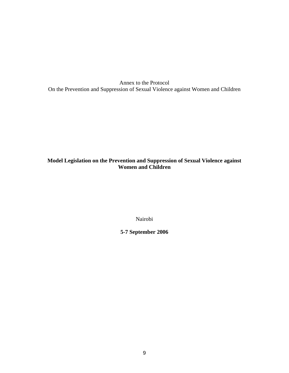Annex to the Protocol On the Prevention and Suppression of Sexual Violence against Women and Children

## **Model Legislation on the Prevention and Suppression of Sexual Violence against Women and Children**

Nairobi

**5-7 September 2006**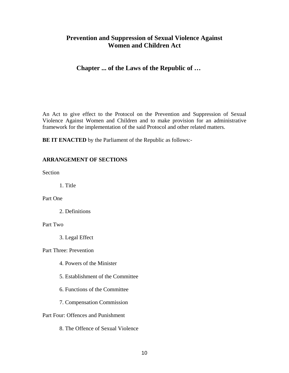# **Prevention and Suppression of Sexual Violence Against Women and Children Act**

# **Chapter ... of the Laws of the Republic of …**

An Act to give effect to the Protocol on the Prevention and Suppression of Sexual Violence Against Women and Children and to make provision for an administrative framework for the implementation of the said Protocol and other related matters.

**BE IT ENACTED** by the Parliament of the Republic as follows:-

## **ARRANGEMENT OF SECTIONS**

Section

1. Title

Part One

2. Definitions

#### Part Two

3. Legal Effect

Part Three: Prevention

- 4. Powers of the Minister
- 5. Establishment of the Committee
- 6. Functions of the Committee
- 7. Compensation Commission

Part Four: Offences and Punishment

8. The Offence of Sexual Violence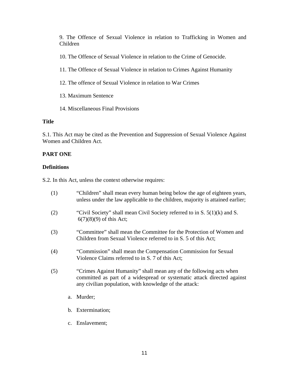9. The Offence of Sexual Violence in relation to Trafficking in Women and Children

10. The Offence of Sexual Violence in relation to the Crime of Genocide.

- 11. The Offence of Sexual Violence in relation to Crimes Against Humanity
- 12. The offence of Sexual Violence in relation to War Crimes
- 13. Maximum Sentence
- 14. Miscellaneous Final Provisions

## **Title**

S.1. This Act may be cited as the Prevention and Suppression of Sexual Violence Against Women and Children Act.

## **PART ONE**

## **Definitions**

S.2. In this Act, unless the context otherwise requires:

- (1) "Children" shall mean every human being below the age of eighteen years, unless under the law applicable to the children, majority is attained earlier;
- (2) "Civil Society" shall mean Civil Society referred to in S.  $5(1)(k)$  and S. 6(7)(8)(9) of this Act;
- (3) "Committee" shall mean the Committee for the Protection of Women and Children from Sexual Violence referred to in S. 5 of this Act;
- (4) "Commission" shall mean the Compensation Commission for Sexual Violence Claims referred to in S. 7 of this Act;
- (5) "Crimes Against Humanity" shall mean any of the following acts when committed as part of a widespread or systematic attack directed against any civilian population, with knowledge of the attack:
	- a. Murder;
	- b. Extermination;
	- c. Enslavement;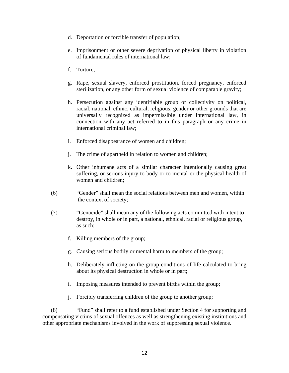- d. Deportation or forcible transfer of population;
- e. Imprisonment or other severe deprivation of physical liberty in violation of fundamental rules of international law;
- f. Torture;
- g. Rape, sexual slavery, enforced prostitution, forced pregnancy, enforced sterilization, or any other form of sexual violence of comparable gravity;
- h. Persecution against any identifiable group or collectivity on political, racial, national, ethnic, cultural, religious, gender or other grounds that are universally recognized as impermissible under international law, in connection with any act referred to in this paragraph or any crime in international criminal law;
- i. Enforced disappearance of women and children;
- j. The crime of apartheid in relation to women and children;
- k. Other inhumane acts of a similar character intentionally causing great suffering, or serious injury to body or to mental or the physical health of women and children;
- (6) "Gender" shall mean the social relations between men and women, within the context of society;
- (7) "Genocide" shall mean any of the following acts committed with intent to destroy, in whole or in part, a national, ethnical, racial or religious group, as such:
	- f. Killing members of the group;
	- g. Causing serious bodily or mental harm to members of the group;
	- h. Deliberately inflicting on the group conditions of life calculated to bring about its physical destruction in whole or in part;
	- i. Imposing measures intended to prevent births within the group;
	- j. Forcibly transferring children of the group to another group;

 (8) "Fund" shall refer to a fund established under Section 4 for supporting and compensating victims of sexual offences as well as strengthening existing institutions and other appropriate mechanisms involved in the work of suppressing sexual violence.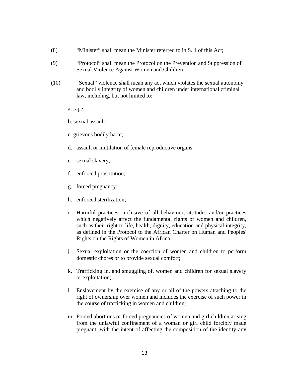- (8) "Minister" shall mean the Minister referred to in S. 4 of this Act;
- (9) "Protocol" shall mean the Protocol on the Prevention and Suppression of Sexual Violence Against Women and Children;
- (10) "Sexual" violence shall mean any act which violates the sexual autonomy and bodily integrity of women and children under international criminal law, including, but not limited to:
	- a. rape;
	- b. sexual assault;
	- c. grievous bodily harm;
	- d. assault or mutilation of female reproductive organs;
	- e. sexual slavery;
	- f. enforced prostitution;
	- g. forced pregnancy;
	- h. enforced sterilization;
	- i. Harmful practices, inclusive of all behaviour, attitudes and/or practices which negatively affect the fundamental rights of women and children, such as their right to life, health, dignity, education and physical integrity, as defined in the Protocol to the African Charter on Human and Peoples' Rights on the Rights of Women in Africa;
	- j. Sexual exploitation or the coercion of women and children to perform domestic chores or to provide sexual comfort;
	- k. Trafficking in, and smuggling of, women and children for sexual slavery or exploitation;
	- l. Enslavement by the exercise of any or all of the powers attaching to the right of ownership over women and includes the exercise of such power in the course of trafficking in women and children;
	- m. Forced abortions or forced pregnancies of women and girl children arising from the unlawful confinement of a woman or girl child forcibly made pregnant, with the intent of affecting the composition of the identity any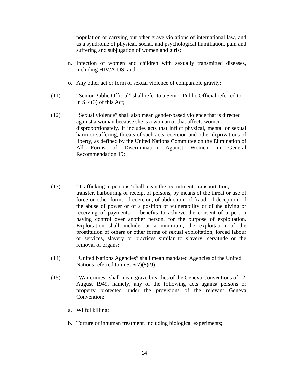population or carrying out other grave violations of international law, and as a syndrome of physical, social, and psychological humiliation, pain and suffering and subjugation of women and girls;

- n. Infection of women and children with sexually transmitted diseases, including HIV/AIDS; and.
- o. Any other act or form of sexual violence of comparable gravity;
- (11) "Senior Public Official" shall refer to a Senior Public Official referred to in  $S.$  4(3) of this Act;
- (12) "Sexual violence" shall also mean gender-based violence that is directed against a woman because she is a woman or that affects women disproportionately. It includes acts that inflict physical, mental or sexual harm or suffering, threats of such acts, coercion and other deprivations of liberty, as defined by the United Nations Committee on the Elimination of All Forms of Discrimination Against Women, in General Recommendation 19;
- (13) "Trafficking in persons" shall mean the recruitment, transportation, transfer, harbouring or receipt of persons, by means of the threat or use of force or other forms of coercion, of abduction, of fraud, of deception, of the abuse of power or of a position of vulnerability or of the giving or receiving of payments or benefits to achieve the consent of a person having control over another person, for the purpose of exploitation. Exploitation shall include, at a minimum, the exploitation of the prostitution of others or other forms of sexual exploitation, forced labour or services, slavery or practices similar to slavery, servitude or the removal of organs;
- (14) "United Nations Agencies" shall mean mandated Agencies of the United Nations referred to in S.  $6(7)(8)(9)$ ;
- (15) "War crimes" shall mean grave breaches of the Geneva Conventions of 12 August 1949, namely, any of the following acts against persons or property protected under the provisions of the relevant Geneva Convention:
	- a. Wilful killing;
	- b. Torture or inhuman treatment, including biological experiments;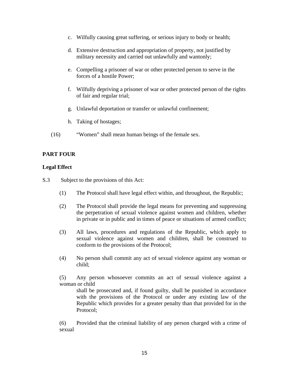- c. Wilfully causing great suffering, or serious injury to body or health;
- d. Extensive destruction and appropriation of property, not justified by military necessity and carried out unlawfully and wantonly;
- e. Compelling a prisoner of war or other protected person to serve in the forces of a hostile Power;
- f. Wilfully depriving a prisoner of war or other protected person of the rights of fair and regular trial;
- g. Unlawful deportation or transfer or unlawful confinement;
- h. Taking of hostages;
- (16) "Women" shall mean human beings of the female sex.

## **PART FOUR**

## **Legal Effect**

- S.3 Subject to the provisions of this Act:
	- (1) The Protocol shall have legal effect within, and throughout, the Republic;
	- (2) The Protocol shall provide the legal means for preventing and suppressing the perpetration of sexual violence against women and children, whether in private or in public and in times of peace or situations of armed conflict;
	- (3) All laws, procedures and regulations of the Republic, which apply to sexual violence against women and children, shall be construed to conform to the provisions of the Protocol;
	- (4) No person shall commit any act of sexual violence against any woman or child;

(5) Any person whosoever commits an act of sexual violence against a woman or child

shall be prosecuted and, if found guilty, shall be punished in accordance with the provisions of the Protocol or under any existing law of the Republic which provides for a greater penalty than that provided for in the Protocol;

(6) Provided that the criminal liability of any person charged with a crime of sexual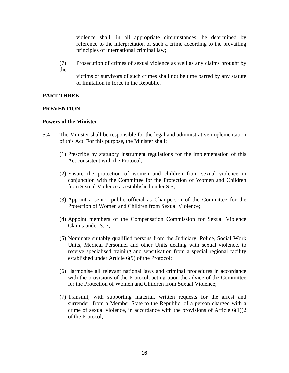violence shall, in all appropriate circumstances, be determined by reference to the interpretation of such a crime according to the prevailing principles of international criminal law;

(7) Prosecution of crimes of sexual violence as well as any claims brought by the

victims or survivors of such crimes shall not be time barred by any statute of limitation in force in the Republic.

## **PART THREE**

## **PREVENTION**

## **Powers of the Minister**

- S.4 The Minister shall be responsible for the legal and administrative implementation of this Act. For this purpose, the Minister shall:
	- (1) Prescribe by statutory instrument regulations for the implementation of this Act consistent with the Protocol;
	- (2) Ensure the protection of women and children from sexual violence in conjunction with the Committee for the Protection of Women and Children from Sexual Violence as established under S 5;
	- (3) Appoint a senior public official as Chairperson of the Committee for the Protection of Women and Children from Sexual Violence;
	- (4) Appoint members of the Compensation Commission for Sexual Violence Claims under S. 7;
	- (5) Nominate suitably qualified persons from the Judiciary, Police, Social Work Units, Medical Personnel and other Units dealing with sexual violence, to receive specialised training and sensitisation from a special regional facility established under Article 6(9) of the Protocol;
	- (6) Harmonise all relevant national laws and criminal procedures in accordance with the provisions of the Protocol, acting upon the advice of the Committee for the Protection of Women and Children from Sexual Violence;
	- (7) Transmit, with supporting material, written requests for the arrest and surrender, from a Member State to the Republic, of a person charged with a crime of sexual violence, in accordance with the provisions of Article  $6(1)(2)$ of the Protocol;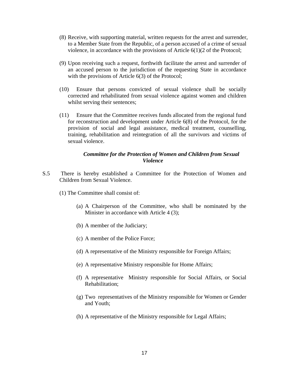- (8) Receive, with supporting material, written requests for the arrest and surrender, to a Member State from the Republic, of a person accused of a crime of sexual violence, in accordance with the provisions of Article 6(1)(2 of the Protocol;
- (9) Upon receiving such a request, forthwith facilitate the arrest and surrender of an accused person to the jurisdiction of the requesting State in accordance with the provisions of Article 6(3) of the Protocol;
- (10) Ensure that persons convicted of sexual violence shall be socially corrected and rehabilitated from sexual violence against women and children whilst serving their sentences;
- (11) Ensure that the Committee receives funds allocated from the regional fund for reconstruction and development under Article 6(8) of the Protocol, for the provision of social and legal assistance, medical treatment, counselling, training, rehabilitation and reintegration of all the survivors and victims of sexual violence.

### *Committee for the Protection of Women and Children from Sexual Violence*

- S.5 There is hereby established a Committee for the Protection of Women and Children from Sexual Violence.
	- (1) The Committee shall consist of:
		- (a) A Chairperson of the Committee, who shall be nominated by the Minister in accordance with Article 4 (3);
		- (b) A member of the Judiciary;
		- (c) A member of the Police Force;
		- (d) A representative of the Ministry responsible for Foreign Affairs;
		- (e) A representative Ministry responsible for Home Affairs;
		- (f) A representative Ministry responsible for Social Affairs, or Social Rehabilitation;
		- (g) Two representatives of the Ministry responsible for Women or Gender and Youth;
		- (h) A representative of the Ministry responsible for Legal Affairs;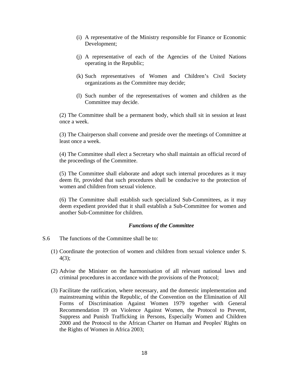- (i) A representative of the Ministry responsible for Finance or Economic Development;
- (j) A representative of each of the Agencies of the United Nations operating in the Republic;
- (k) Such representatives of Women and Children's Civil Society organizations as the Committee may decide;
- (l) Such number of the representatives of women and children as the Committee may decide.

(2) The Committee shall be a permanent body, which shall sit in session at least once a week.

 (3) The Chairperson shall convene and preside over the meetings of Committee at least once a week.

(4) The Committee shall elect a Secretary who shall maintain an official record of the proceedings of the Committee.

(5) The Committee shall elaborate and adopt such internal procedures as it may deem fit, provided that such procedures shall be conducive to the protection of women and children from sexual violence.

(6) The Committee shall establish such specialized Sub-Committees, as it may deem expedient provided that it shall establish a Sub-Committee for women and another Sub-Committee for children.

#### *Functions of the Committee*

- S.6 The functions of the Committee shall be to:
	- (1) Coordinate the protection of women and children from sexual violence under S. 4(3);
	- (2) Advise the Minister on the harmonisation of all relevant national laws and criminal procedures in accordance with the provisions of the Protocol;
	- (3) Facilitate the ratification, where necessary, and the domestic implementation and mainstreaming within the Republic, of the Convention on the Elimination of All Forms of Discrimination Against Women 1979 together with General Recommendation 19 on Violence Against Women, the Protocol to Prevent, Suppress and Punish Trafficking in Persons, Especially Women and Children 2000 and the Protocol to the African Charter on Human and Peoples' Rights on the Rights of Women in Africa 2003;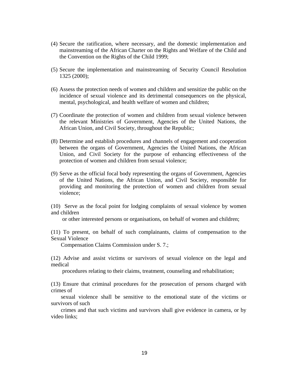- (4) Secure the ratification, where necessary, and the domestic implementation and mainstreaming of the African Charter on the Rights and Welfare of the Child and the Convention on the Rights of the Child 1999;
- (5) Secure the implementation and mainstreaming of Security Council Resolution 1325 (2000);
- (6) Assess the protection needs of women and children and sensitize the public on the incidence of sexual violence and its detrimental consequences on the physical, mental, psychological, and health welfare of women and children;
- (7) Coordinate the protection of women and children from sexual violence between the relevant Ministries of Government, Agencies of the United Nations, the African Union, and Civil Society, throughout the Republic;
- (8) Determine and establish procedures and channels of engagement and cooperation between the organs of Government, Agencies the United Nations, the African Union, and Civil Society for the purpose of enhancing effectiveness of the protection of women and children from sexual violence;
- (9) Serve as the official focal body representing the organs of Government, Agencies of the United Nations, the African Union, and Civil Society, responsible for providing and monitoring the protection of women and children from sexual violence;

(10) Serve as the focal point for lodging complaints of sexual violence by women and children

or other interested persons or organisations, on behalf of women and children;

(11) To present, on behalf of such complainants, claims of compensation to the Sexual Violence

Compensation Claims Commission under S. 7.;

(12) Advise and assist victims or survivors of sexual violence on the legal and medical

procedures relating to their claims, treatment, counseling and rehabilitation;

(13) Ensure that criminal procedures for the prosecution of persons charged with crimes of

 sexual violence shall be sensitive to the emotional state of the victims or survivors of such

 crimes and that such victims and survivors shall give evidence in camera, or by video links;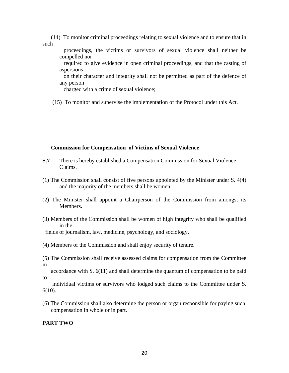(14) To monitor criminal proceedings relating to sexual violence and to ensure that in such

 proceedings, the victims or survivors of sexual violence shall neither be compelled nor

 required to give evidence in open criminal proceedings, and that the casting of aspersions

 on their character and integrity shall not be permitted as part of the defence of any person

charged with a crime of sexual violence;

(15) To monitor and supervise the implementation of the Protocol under this Act.

#### **Commission for Compensation of Victims of Sexual Violence**

- **S.7** There is hereby established a Compensation Commission for Sexual Violence Claims.
- (1) The Commission shall consist of five persons appointed by the Minister under S. 4(4) and the majority of the members shall be women.
- (2) The Minister shall appoint a Chairperson of the Commission from amongst its Members.
- (3) Members of the Commission shall be women of high integrity who shall be qualified in the

fields of journalism, law, medicine, psychology, and sociology.

- (4) Members of the Commission and shall enjoy security of tenure.
- (5) The Commission shall receive assessed claims for compensation from the Committee in

 accordance with S. 6(11) and shall determine the quantum of compensation to be paid to

 individual victims or survivors who lodged such claims to the Committee under S. 6(10).

(6) The Commission shall also determine the person or organ responsible for paying such compensation in whole or in part.

#### **PART TWO**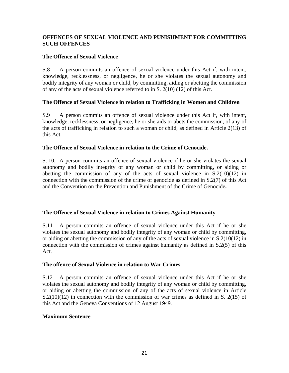## **OFFENCES OF SEXUAL VIOLENCE AND PUNISHMENT FOR COMMITTING SUCH OFFENCES**

## **The Offence of Sexual Violence**

S.8 A person commits an offence of sexual violence under this Act if, with intent, knowledge, recklessness, or negligence, he or she violates the sexual autonomy and bodily integrity of any woman or child, by committing, aiding or abetting the commission of any of the acts of sexual violence referred to in S. 2(10) (12) of this Act.

## **The Offence of Sexual Violence in relation to Trafficking in Women and Children**

S.9 A person commits an offence of sexual violence under this Act if, with intent, knowledge, recklessness, or negligence, he or she aids or abets the commission, of any of the acts of trafficking in relation to such a woman or child, as defined in Article 2(13) of this Act.

## **The Offence of Sexual Violence in relation to the Crime of Genocide.**

S. 10. A person commits an offence of sexual violence if he or she violates the sexual autonomy and bodily integrity of any woman or child by committing, or aiding or abetting the commission of any of the acts of sexual violence in  $S(2(10)(12))$  in connection with the commission of the crime of genocide as defined in S.2(7) of this Act and the Convention on the Prevention and Punishment of the Crime of Genocide**.** 

## **The Offence of Sexual Violence in relation to Crimes Against Humanity**

S.11 A person commits an offence of sexual violence under this Act if he or she violates the sexual autonomy and bodily integrity of any woman or child by committing, or aiding or abetting the commission of any of the acts of sexual violence in S.2(10(12) in connection with the commission of crimes against humanity as defined in S.2(5) of this Act.

#### **The offence of Sexual Violence in relation to War Crimes**

S.12 A person commits an offence of sexual violence under this Act if he or she violates the sexual autonomy and bodily integrity of any woman or child by committing, or aiding or abetting the commission of any of the acts of sexual violence in Article S.2(10)(12) in connection with the commission of war crimes as defined in S. 2(15) of this Act and the Geneva Conventions of 12 August 1949.

#### **Maximum Sentence**